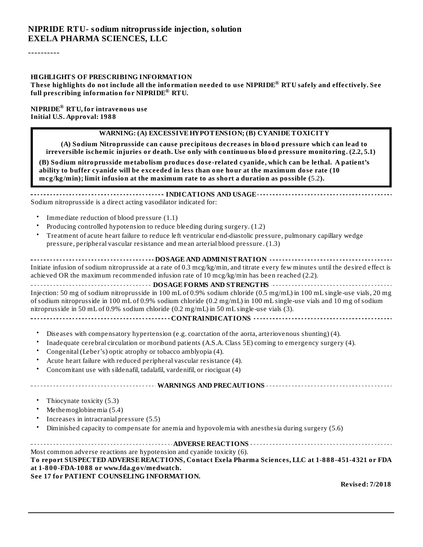#### **NIPRIDE RTU- sodium nitroprusside injection, solution EXELA PHARMA SCIENCES, LLC**

----------

#### **HIGHLIGHTS OF PRESCRIBING INFORMATION**

These highlights do not include all the information needed to use NIPRIDE® RTU safely and effectively. See  $f$ ull prescribing information for  $NIPRIDE^{\circledast}$  RTU.

 $\mathbf{NIPRIDE}^\circledR$   $\mathbf{RTU}$ , for intravenous use **Initial U.S. Approval: 1988**

#### **WARNING: (A) EXCESSIVE HYPOTENSION; (B) CYANIDE TOXICITY**

**(A) Sodium Nitroprusside can cause precipitous decreases in blood pressure which can lead to irreversible ischemic injuries or death. Use only with continuous blood pressure monitoring. (2.2, 5.1)**

**(B) Sodium nitroprusside metabolism produces dose-related cyanide, which can be lethal. A patient's ability to buffer cyanide will be exceeded in less than one hour at the maximum dose rate (10 mcg/kg/min); limit infusion at the maximum rate to as short a duration as possible (**5.2**).**

| Sodium nitroprusside is a direct acting vasodilator indicated for: |
|--------------------------------------------------------------------|

- Immediate reduction of blood pressure (1.1)
- Producing controlled hypotension to reduce bleeding during surgery. (1.2)
- Treatment of acute heart failure to reduce left ventricular end-diastolic pressure, pulmonary capillary wedge pressure, peripheral vascular resistance and mean arterial blood pressure. (1.3)

| Initiate infusion of sodium nitroprusside at a rate of 0.3 mcg/kg/min, and titrate every few minutes until the desired effect is |  |  |  |  |  |
|----------------------------------------------------------------------------------------------------------------------------------|--|--|--|--|--|
| achieved OR the maximum recommended infusion rate of 10 mcg/kg/min has been reached (2.2).                                       |  |  |  |  |  |

**DOSAGE FORMS AND STRENGTHS CONFIDENTIFIED INTERFERENCE ASSESSED AT A PROPERTIES** Injection: 50 mg of sodium nitroprusside in 100 mL of 0.9% sodium chloride (0.5 mg/mL) in 100 mL single-use vials, 20 mg of sodium nitroprusside in 100 mL of 0.9% sodium chloride (0.2 mg/mL) in 100 mL single-use vials and 10 mg of sodium nitroprusside in 50 mL of 0.9% sodium chloride (0.2 mg/mL) in 50 mL single-use vials (3).

#### **CONTRAINDICATIONS**

- Diseases with compensatory hypertension (e.g. coarctation of the aorta, arteriovenous shunting) (4).
- Inadequate cerebral circulation or moribund patients (A.S.A. Class 5E) coming to emergency surgery (4).
- Congenital (Leber's) optic atrophy or tobacco amblyopia (4).
- Acute heart failure with reduced peripheral vascular resistance (4).
- Concomitant use with sildenafil, tadalafil, vardenifil, or riociguat (4)

#### **WARNINGS AND PRECAUTIONS**

- Thiocynate toxicity (5.3)
- Methemoglobinemia (5.4)
- Increases in intracranial pressure (5.5)
- Diminished capacity to compensate for anemia and hypovolemia with anesthesia during surgery (5.6)

**ADVERSE REACTIONS** Most common adverse reactions are hypotension and cyanide toxicity (6). **To report SUSPECTED ADVERSE REACTIONS, Contact Exela Pharma Sciences, LLC at 1-888-451-4321 or FDA at 1-800-FDA-1088 or www.fda.gov/medwatch. See 17 for PATIENT COUNSELING INFORMATION.**

**Revised: 7/2018**

<u> - - - - - - - - - - -</u>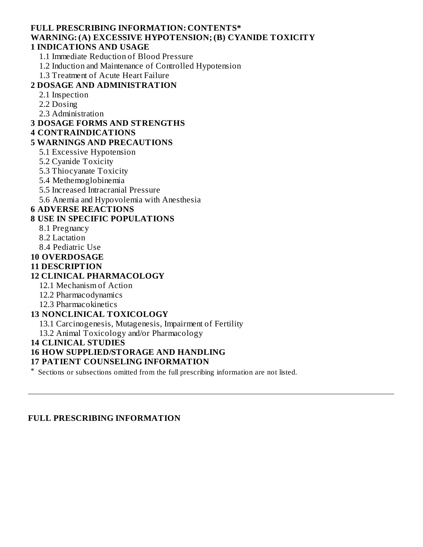#### **FULL PRESCRIBING INFORMATION: CONTENTS\* WARNING: (A) EXCESSIVE HYPOTENSION; (B) CYANIDE TOXICITY 1 INDICATIONS AND USAGE**

- 1.1 Immediate Reduction of Blood Pressure
- 1.2 Induction and Maintenance of Controlled Hypotension
- 1.3 Treatment of Acute Heart Failure

## **2 DOSAGE AND ADMINISTRATION**

- 2.1 Inspection
- 2.2 Dosing
- 2.3 Administration

#### **3 DOSAGE FORMS AND STRENGTHS**

#### **4 CONTRAINDICATIONS**

#### **5 WARNINGS AND PRECAUTIONS**

- 5.1 Excessive Hypotension
- 5.2 Cyanide Toxicity
- 5.3 Thiocyanate Toxicity
- 5.4 Methemoglobinemia
- 5.5 Increased Intracranial Pressure
- 5.6 Anemia and Hypovolemia with Anesthesia

#### **6 ADVERSE REACTIONS**

#### **8 USE IN SPECIFIC POPULATIONS**

- 8.1 Pregnancy
- 8.2 Lactation
- 8.4 Pediatric Use

#### **10 OVERDOSAGE**

#### **11 DESCRIPTION**

#### **12 CLINICAL PHARMACOLOGY**

- 12.1 Mechanism of Action
- 12.2 Pharmacodynamics
- 12.3 Pharmacokinetics

#### **13 NONCLINICAL TOXICOLOGY**

13.1 Carcinogenesis, Mutagenesis, Impairment of Fertility

13.2 Animal Toxicology and/or Pharmacology

#### **14 CLINICAL STUDIES**

#### **16 HOW SUPPLIED/STORAGE AND HANDLING**

#### **17 PATIENT COUNSELING INFORMATION**

\* Sections or subsections omitted from the full prescribing information are not listed.

#### **FULL PRESCRIBING INFORMATION**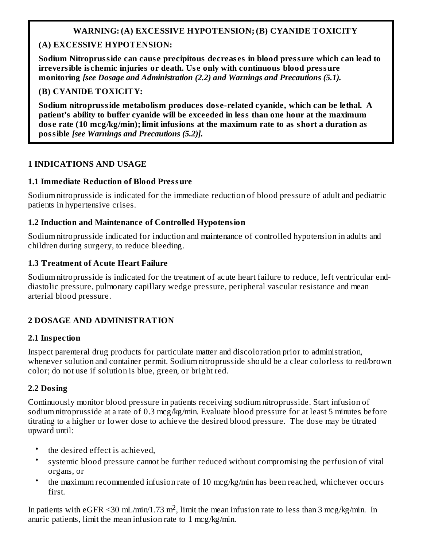## **WARNING: (A) EXCESSIVE HYPOTENSION; (B) CYANIDE TOXICITY**

## **(A) EXCESSIVE HYPOTENSION:**

**Sodium Nitroprusside can cause precipitous decreases in blood pressure which can lead to irreversible ischemic injuries or death. Use only with continuous blood pressure monitoring** *[see Dosage and Administration (2.2) and Warnings and Precautions (5.1).*

## **(B) CYANIDE TOXICITY:**

**Sodium nitroprusside metabolism produces dose-related cyanide, which can be lethal. A patient's ability to buffer cyanide will be exceeded in less than one hour at the maximum dose rate (10 mcg/kg/min); limit infusions at the maximum rate to as short a duration as possible** *[see Warnings and Precautions (5.2)].*

## **1 INDICATIONS AND USAGE**

## **1.1 Immediate Reduction of Blood Pressure**

Sodium nitroprusside is indicated for the immediate reduction of blood pressure of adult and pediatric patients in hypertensive crises.

## **1.2 Induction and Maintenance of Controlled Hypotension**

Sodium nitroprusside indicated for induction and maintenance of controlled hypotension in adults and children during surgery, to reduce bleeding.

## **1.3 Treatment of Acute Heart Failure**

Sodium nitroprusside is indicated for the treatment of acute heart failure to reduce, left ventricular enddiastolic pressure, pulmonary capillary wedge pressure, peripheral vascular resistance and mean arterial blood pressure.

## **2 DOSAGE AND ADMINISTRATION**

## **2.1 Inspection**

Inspect parenteral drug products for particulate matter and discoloration prior to administration, whenever solution and container permit. Sodium nitroprusside should be a clear colorless to red/brown color; do not use if solution is blue, green, or bright red.

## **2.2 Dosing**

Continuously monitor blood pressure in patients receiving sodium nitroprusside. Start infusion of sodium nitroprusside at a rate of 0.3 mcg/kg/min. Evaluate blood pressure for at least 5 minutes before titrating to a higher or lower dose to achieve the desired blood pressure. The dose may be titrated upward until:

- the desired effect is achieved,
- systemic blood pressure cannot be further reduced without compromising the perfusion of vital organs, or
- the maximum recommended infusion rate of 10 mcg/kg/min has been reached, whichever occurs first.

In patients with eGFR <30 mL/min/1.73 m<sup>2</sup>, limit the mean infusion rate to less than 3 mcg/kg/min. In anuric patients, limit the mean infusion rate to 1 mcg/kg/min.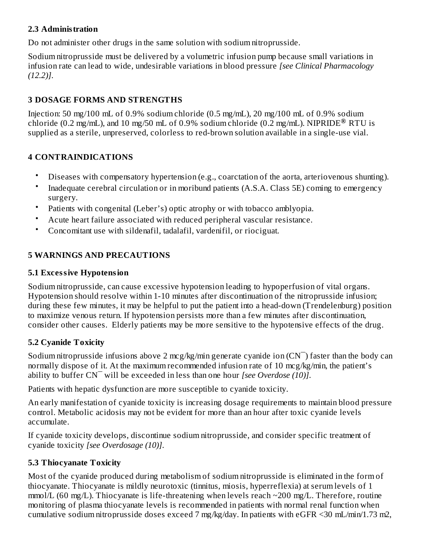## **2.3 Administration**

Do not administer other drugs in the same solution with sodium nitroprusside.

Sodium nitroprusside must be delivered by a volumetric infusion pump because small variations in infusion rate can lead to wide, undesirable variations in blood pressure *[see Clinical Pharmacology (12.2)]*.

## **3 DOSAGE FORMS AND STRENGTHS**

Injection: 50 mg/100 mL of 0.9% sodium chloride (0.5 mg/mL), 20 mg/100 mL of 0.9% sodium chloride (0.2 mg/mL), and 10 mg/50 mL of 0.9% sodium chloride (0.2 mg/mL). NIPRIDE<sup>®</sup> RTU is supplied as a sterile, unpreserved, colorless to red-brown solution available in a single-use vial.

## **4 CONTRAINDICATIONS**

- Diseases with compensatory hypertension (e.g., coarctation of the aorta, arteriovenous shunting).
- Inadequate cerebral circulation or in moribund patients (A.S.A. Class 5E) coming to emergency surgery.
- Patients with congenital (Leber's) optic atrophy or with tobacco amblyopia.
- Acute heart failure associated with reduced peripheral vascular resistance.
- Concomitant use with sildenafil, tadalafil, vardenifil, or riociguat.

## **5 WARNINGS AND PRECAUTIONS**

## **5.1 Excessive Hypotension**

Sodium nitroprusside, can cause excessive hypotension leading to hypoperfusion of vital organs. Hypotension should resolve within 1-10 minutes after discontinuation of the nitroprusside infusion; during these few minutes, it may be helpful to put the patient into a head-down (Trendelenburg) position to maximize venous return. If hypotension persists more than a few minutes after discontinuation, consider other causes. Elderly patients may be more sensitive to the hypotensive effects of the drug.

## **5.2 Cyanide Toxicity**

Sodium nitroprusside infusions above 2 mcg/kg/min generate cyanide ion  $(CN)$  faster than the body can normally dispose of it. At the maximum recommended infusion rate of 10 mcg/kg/min, the patient's ability to buffer CN¯ will be exceeded in less than one hour *[see Overdose (10)]*.

Patients with hepatic dysfunction are more susceptible to cyanide toxicity.

An early manifestation of cyanide toxicity is increasing dosage requirements to maintain blood pressure control. Metabolic acidosis may not be evident for more than an hour after toxic cyanide levels accumulate.

If cyanide toxicity develops, discontinue sodium nitroprusside, and consider specific treatment of cyanide toxicity *[see Overdosage (10)]*.

## **5.3 Thiocyanate Toxicity**

Most of the cyanide produced during metabolism of sodium nitroprusside is eliminated in the form of thiocyanate. Thiocyanate is mildly neurotoxic (tinnitus, miosis, hyperreflexia) at serum levels of 1  $mmol/L$  (60 mg/L). Thiocyanate is life-threatening when levels reach  $\sim$ 200 mg/L. Therefore, routine monitoring of plasma thiocyanate levels is recommended in patients with normal renal function when cumulative sodium nitroprusside doses exceed 7 mg/kg/day. In patients with eGFR <30 mL/min/1.73 m2,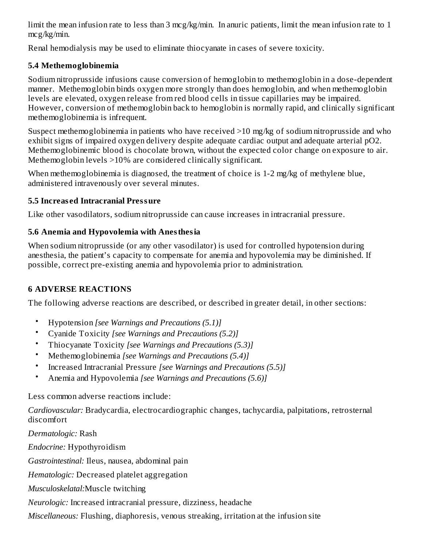limit the mean infusion rate to less than 3 mcg/kg/min. In anuric patients, limit the mean infusion rate to 1 mcg/kg/min.

Renal hemodialysis may be used to eliminate thiocyanate in cases of severe toxicity.

## **5.4 Methemoglobinemia**

Sodium nitroprusside infusions cause conversion of hemoglobin to methemoglobin in a dose-dependent manner. Methemoglobin binds oxygen more strongly than does hemoglobin, and when methemoglobin levels are elevated, oxygen release from red blood cells in tissue capillaries may be impaired. However, conversion of methemoglobin back to hemoglobin is normally rapid, and clinically significant methemoglobinemia is infrequent.

Suspect methemoglobinemia in patients who have received >10 mg/kg of sodium nitroprusside and who exhibit signs of impaired oxygen delivery despite adequate cardiac output and adequate arterial pO2. Methemoglobinemic blood is chocolate brown, without the expected color change on exposure to air. Methemoglobin levels >10% are considered clinically significant.

When methemoglobinemia is diagnosed, the treatment of choice is 1-2 mg/kg of methylene blue, administered intravenously over several minutes.

## **5.5 Increased Intracranial Pressure**

Like other vasodilators, sodium nitroprusside can cause increases in intracranial pressure.

## **5.6 Anemia and Hypovolemia with Anesthesia**

When sodium nitroprusside (or any other vasodilator) is used for controlled hypotension during anesthesia, the patient's capacity to compensate for anemia and hypovolemia may be diminished. If possible, correct pre-existing anemia and hypovolemia prior to administration.

## **6 ADVERSE REACTIONS**

The following adverse reactions are described, or described in greater detail, in other sections:

- Hypotension *[see Warnings and Precautions (5.1)]*
- Cyanide Toxicity *[see Warnings and Precautions (5.2)]*
- Thiocyanate Toxicity *[see Warnings and Precautions (5.3)]*
- Methemoglobinemia *[see Warnings and Precautions (5.4)]*
- Increased Intracranial Pressure *[see Warnings and Precautions (5.5)]*
- Anemia and Hypovolemia *[see Warnings and Precautions (5.6)]*

Less common adverse reactions include:

*Cardiovascular:* Bradycardia, electrocardiographic changes, tachycardia, palpitations, retrosternal discomfort

*Dermatologic:* Rash *Endocrine:* Hypothyroidism *Gastrointestinal:* Ileus, nausea, abdominal pain *Hematologic:* Decreased platelet aggregation *Musculoskelatal:*Muscle twitching *Neurologic:* Increased intracranial pressure, dizziness, headache

*Miscellaneous:* Flushing, diaphoresis, venous streaking, irritation at the infusion site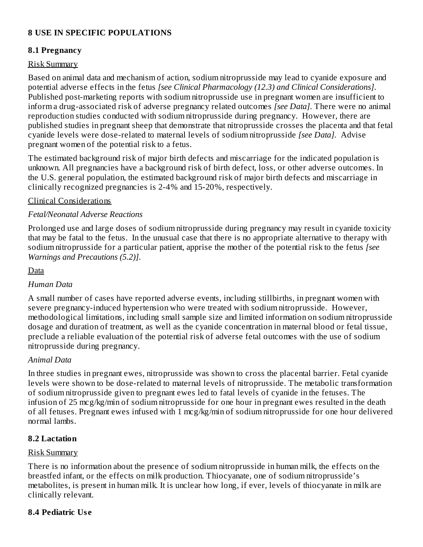## **8 USE IN SPECIFIC POPULATIONS**

## **8.1 Pregnancy**

#### Risk Summary

Based on animal data and mechanism of action, sodium nitroprusside may lead to cyanide exposure and potential adverse effects in the fetus *[see Clinical Pharmacology (12.3) and Clinical Considerations]*. Published post-marketing reports with sodium nitroprusside use in pregnant women are insufficient to inform a drug-associated risk of adverse pregnancy related outcomes *[see Data]*. There were no animal reproduction studies conducted with sodium nitroprusside during pregnancy. However, there are published studies in pregnant sheep that demonstrate that nitroprusside crosses the placenta and that fetal cyanide levels were dose-related to maternal levels of sodium nitroprusside *[see Data].* Advise pregnant women of the potential risk to a fetus.

The estimated background risk of major birth defects and miscarriage for the indicated population is unknown. All pregnancies have a background risk of birth defect, loss, or other adverse outcomes. In the U.S. general population, the estimated background risk of major birth defects and miscarriage in clinically recognized pregnancies is 2-4% and 15-20%, respectively.

#### Clinical Considerations

## *Fetal/Neonatal Adverse Reactions*

Prolonged use and large doses of sodium nitroprusside during pregnancy may result in cyanide toxicity that may be fatal to the fetus. In the unusual case that there is no appropriate alternative to therapy with sodium nitroprusside for a particular patient, apprise the mother of the potential risk to the fetus *[see Warnings and Precautions (5.2)]*.

Data

## *Human Data*

A small number of cases have reported adverse events, including stillbirths, in pregnant women with severe pregnancy-induced hypertension who were treated with sodium nitroprusside. However, methodological limitations, including small sample size and limited information on sodium nitroprusside dosage and duration of treatment, as well as the cyanide concentration in maternal blood or fetal tissue, preclude a reliable evaluation of the potential risk of adverse fetal outcomes with the use of sodium nitroprusside during pregnancy.

## *Animal Data*

In three studies in pregnant ewes, nitroprusside was shown to cross the placental barrier. Fetal cyanide levels were shown to be dose-related to maternal levels of nitroprusside. The metabolic transformation of sodium nitroprusside given to pregnant ewes led to fatal levels of cyanide in the fetuses. The infusion of 25 mcg/kg/min of sodium nitroprusside for one hour in pregnant ewes resulted in the death of all fetuses. Pregnant ewes infused with 1 mcg/kg/min of sodium nitroprusside for one hour delivered normal lambs.

## **8.2 Lactation**

#### Risk Summary

There is no information about the presence of sodium nitroprusside in human milk, the effects on the breastfed infant, or the effects on milk production. Thiocyanate, one of sodium nitroprusside's metabolites, is present in human milk. It is unclear how long, if ever, levels of thiocyanate in milk are clinically relevant.

## **8.4 Pediatric Use**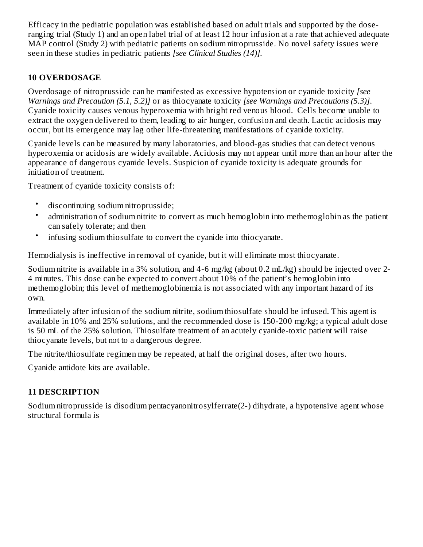Efficacy in the pediatric population was established based on adult trials and supported by the doseranging trial (Study 1) and an open label trial of at least 12 hour infusion at a rate that achieved adequate MAP control (Study 2) with pediatric patients on sodium nitroprusside. No novel safety issues were seen in these studies in pediatric patients *[see Clinical Studies (14)].*

## **10 OVERDOSAGE**

Overdosage of nitroprusside can be manifested as excessive hypotension or cyanide toxicity *[see Warnings and Precaution (5.1, 5.2)]* or as thiocyanate toxicity *[see Warnings and Precautions (5.3)]*. Cyanide toxicity causes venous hyperoxemia with bright red venous blood. Cells become unable to extract the oxygen delivered to them, leading to air hunger, confusion and death. Lactic acidosis may occur, but its emergence may lag other life-threatening manifestations of cyanide toxicity.

Cyanide levels can be measured by many laboratories, and blood-gas studies that can detect venous hyperoxemia or acidosis are widely available. Acidosis may not appear until more than an hour after the appearance of dangerous cyanide levels. Suspicion of cyanide toxicity is adequate grounds for initiation of treatment.

Treatment of cyanide toxicity consists of:

- discontinuing sodium nitroprusside;
- administration of sodium nitrite to convert as much hemoglobin into methemoglobin as the patient can safely tolerate; and then
- infusing sodium thiosulfate to convert the cyanide into thiocyanate.

Hemodialysis is ineffective in removal of cyanide, but it will eliminate most thiocyanate.

Sodium nitrite is available in a 3% solution, and 4-6 mg/kg (about 0.2 mL/kg) should be injected over 2- 4 minutes. This dose can be expected to convert about 10% of the patient's hemoglobin into methemoglobin; this level of methemoglobinemia is not associated with any important hazard of its own.

Immediately after infusion of the sodium nitrite, sodium thiosulfate should be infused. This agent is available in 10% and 25% solutions, and the recommended dose is 150-200 mg/kg; a typical adult dose is 50 mL of the 25% solution. Thiosulfate treatment of an acutely cyanide-toxic patient will raise thiocyanate levels, but not to a dangerous degree.

The nitrite/thiosulfate regimen may be repeated, at half the original doses, after two hours.

Cyanide antidote kits are available.

## **11 DESCRIPTION**

Sodium nitroprusside is disodium pentacyanonitrosylferrate(2-) dihydrate, a hypotensive agent whose structural formula is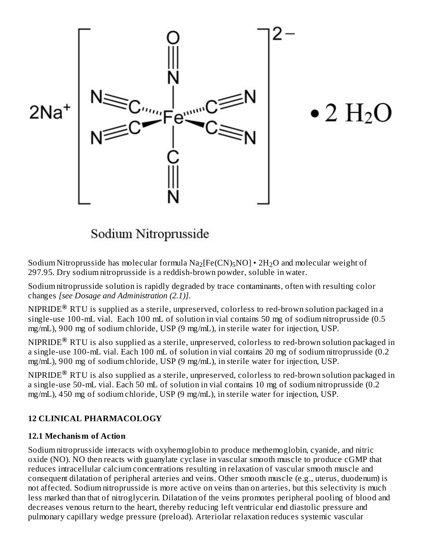

# $\bullet$  2 H<sub>2</sub>O

## Sodium Nitroprusside

Sodium Nitroprusside has molecular formula  $\rm Na_2[Fe(CN)_5 NO]$  •  $\rm 2H_2O$  and molecular weight of 297.95. Dry sodium nitroprusside is a reddish-brown powder, soluble in water.

Sodium nitroprusside solution is rapidly degraded by trace contaminants, often with resulting color changes *[see Dosage and Administration (2.1)]*.

<code>NIPRIDE®</code> RTU is supplied as a sterile, unpreserved, <code>colorless</code> to red-brown solution packaged in a single-use 100-mL vial. Each 100 mL of solution in vial contains 50 mg of sodium nitroprusside (0.5 mg/mL), 900 mg of sodium chloride, USP (9 mg/mL), in sterile water for injection, USP.

<code>NIPRIDE®</code> RTU is also supplied as a sterile, unpreserved, colorless to red-brown solution packaged in a single-use 100-mL vial. Each 100 mL of solution in vial contains 20 mg of sodium nitroprusside (0.2 mg/mL), 900 mg of sodium chloride, USP (9 mg/mL), in sterile water for injection, USP.

<code>NIPRIDE®</code> RTU is also supplied as a sterile, unpreserved, colorless to red-brown solution packaged in a single-use 50-mL vial. Each 50 mL of solution in vial contains 10 mg of sodium nitroprusside (0.2 mg/mL), 450 mg of sodium chloride, USP (9 mg/mL), in sterile water for injection, USP.

## **12 CLINICAL PHARMACOLOGY**

## **12.1 Mechanism of Action**

Sodium nitroprusside interacts with oxyhemoglobin to produce methemoglobin, cyanide, and nitric oxide (NO). NO then reacts with guanylate cyclase in vascular smooth muscle to produce cGMP that reduces intracellular calcium concentrations resulting in relaxation of vascular smooth muscle and consequent dilatation of peripheral arteries and veins. Other smooth muscle (e.g., uterus, duodenum) is not affected. Sodium nitroprusside is more active on veins than on arteries, but this selectivity is much less marked than that of nitroglycerin. Dilatation of the veins promotes peripheral pooling of blood and decreases venous return to the heart, thereby reducing left ventricular end diastolic pressure and pulmonary capillary wedge pressure (preload). Arteriolar relaxation reduces systemic vascular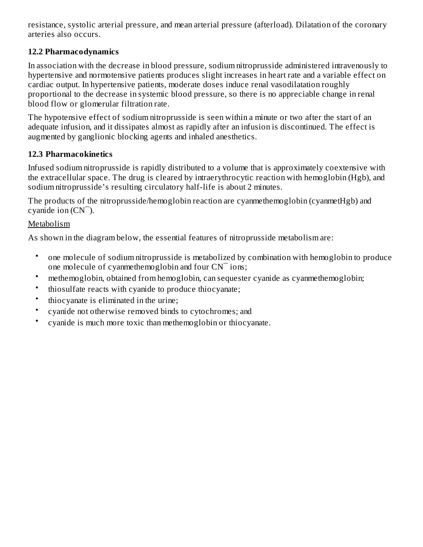resistance, systolic arterial pressure, and mean arterial pressure (afterload). Dilatation of the coronary arteries also occurs.

## **12.2 Pharmacodynamics**

In association with the decrease in blood pressure, sodium nitroprusside administered intravenously to hypertensive and normotensive patients produces slight increases in heart rate and a variable effect on cardiac output. In hypertensive patients, moderate doses induce renal vasodilatation roughly proportional to the decrease in systemic blood pressure, so there is no appreciable change in renal blood flow or glomerular filtration rate.

The hypotensive effect of sodium nitroprusside is seen within a minute or two after the start of an adequate infusion, and it dissipates almost as rapidly after an infusion is discontinued. The effect is augmented by ganglionic blocking agents and inhaled anesthetics.

## **12.3 Pharmacokinetics**

Infused sodium nitroprusside is rapidly distributed to a volume that is approximately coextensive with the extracellular space. The drug is cleared by intraerythrocytic reaction with hemoglobin (Hgb), and sodium nitroprusside's resulting circulatory half-life is about 2 minutes.

The products of the nitroprusside/hemoglobin reaction are cyanmethemoglobin (cyanmetHgb) and cyanide ion  $(CN<sup>-</sup>)$ .

## Metabolism

As shown in the diagram below, the essential features of nitroprusside metabolism are:

- one molecule of sodium nitroprusside is metabolized by combination with hemoglobin to produce one molecule of cyanmethemoglobin and four CN¯ ions;
- methemoglobin, obtained from hemoglobin, can sequester cyanide as cyanmethemoglobin;
- thiosulfate reacts with cyanide to produce thiocyanate;
- thiocyanate is eliminated in the urine;
- cyanide not otherwise removed binds to cytochromes; and
- cyanide is much more toxic than methemoglobin or thiocyanate.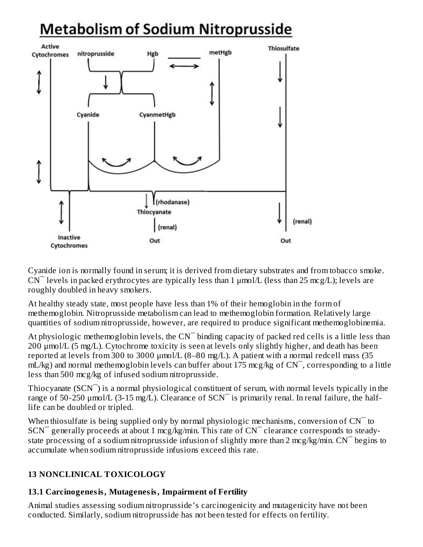## **Metabolism of Sodium Nitroprusside**



Cyanide ion is normally found in serum; it is derived from dietary substrates and from tobacco smoke.  $CN$ <sup>-</sup> levels in packed erythrocytes are typically less than 1  $\mu$ mol/L (less than 25 mcg/L); levels are roughly doubled in heavy smokers.

At healthy steady state, most people have less than 1% of their hemoglobin in the form of methemoglobin. Nitroprusside metabolism can lead to methemoglobin formation. Relatively large quantities of sodium nitroprusside, however, are required to produce significant methemoglobinemia.

At physiologic methemoglobin levels, the  $CN<sup>-</sup>$  binding capacity of packed red cells is a little less than 200 μmol/L (5 mg/L). Cytochrome toxicity is seen at levels only slightly higher, and death has been reported at levels from 300 to 3000 μmol/L (8–80 mg/L). A patient with a normal redcell mass (35  $mL/kg$ ) and normal methemoglobin levels can buffer about 175 mcg/kg of  $CN$ , corresponding to a little less than 500 mcg/kg of infused sodium nitroprusside.

Thiocyanate (SCN<sup>-</sup>) is a normal physiological constituent of serum, with normal levels typically in the range of 50-250  $\mu$ mol/L (3-15 mg/L). Clearance of SCN<sup> $-$ </sup> is primarily renal. In renal failure, the halflife can be doubled or tripled.

When thiosulfate is being supplied only by normal physiologic mechanisms, conversion of  $CN<sup>-</sup>$  to  $SCN$ <sup> $-$ </sup> generally proceeds at about 1 mcg/kg/min. This rate of  $CN$ <sup> $-$ </sup> clearance corresponds to steadystate processing of a sodium nitroprusside infusion of slightly more than 2 mcg/kg/min.  $CN^-$  begins to accumulate when sodium nitroprusside infusions exceed this rate.

## **13 NONCLINICAL TOXICOLOGY**

## **13.1 Carcinogenesis, Mutagenesis, Impairment of Fertility**

Animal studies assessing sodium nitroprusside's carcinogenicity and mutagenicity have not been conducted. Similarly, sodium nitroprusside has not been tested for effects on fertility.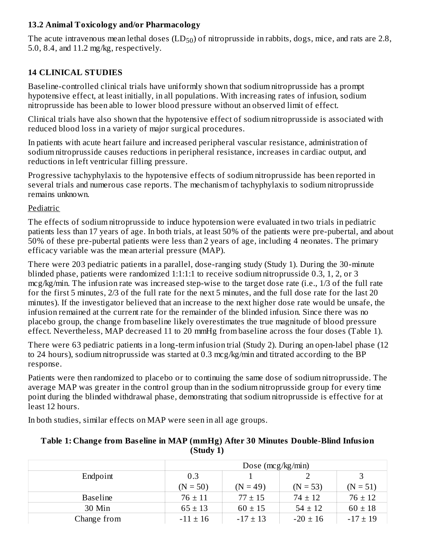## **13.2 Animal Toxicology and/or Pharmacology**

The acute intravenous mean lethal doses  $\rm (LD_{50})$  of nitroprusside in rabbits, dogs, mice, and rats are 2.8, 5.0, 8.4, and 11.2 mg/kg, respectively.

## **14 CLINICAL STUDIES**

Baseline-controlled clinical trials have uniformly shown that sodium nitroprusside has a prompt hypotensive effect, at least initially, in all populations. With increasing rates of infusion, sodium nitroprusside has been able to lower blood pressure without an observed limit of effect.

Clinical trials have also shown that the hypotensive effect of sodium nitroprusside is associated with reduced blood loss in a variety of major surgical procedures.

In patients with acute heart failure and increased peripheral vascular resistance, administration of sodium nitroprusside causes reductions in peripheral resistance, increases in cardiac output, and reductions in left ventricular filling pressure.

Progressive tachyphylaxis to the hypotensive effects of sodium nitroprusside has been reported in several trials and numerous case reports. The mechanism of tachyphylaxis to sodium nitroprusside remains unknown.

## Pediatric

The effects of sodium nitroprusside to induce hypotension were evaluated in two trials in pediatric patients less than 17 years of age. In both trials, at least 50% of the patients were pre-pubertal, and about 50% of these pre-pubertal patients were less than 2 years of age, including 4 neonates. The primary efficacy variable was the mean arterial pressure (MAP).

There were 203 pediatric patients in a parallel, dose-ranging study (Study 1). During the 30-minute blinded phase, patients were randomized 1:1:1:1 to receive sodium nitroprusside 0.3, 1, 2, or 3 mcg/kg/min. The infusion rate was increased step-wise to the target dose rate (i.e., 1/3 of the full rate for the first 5 minutes, 2/3 of the full rate for the next 5 minutes, and the full dose rate for the last 20 minutes). If the investigator believed that an increase to the next higher dose rate would be unsafe, the infusion remained at the current rate for the remainder of the blinded infusion. Since there was no placebo group, the change from baseline likely overestimates the true magnitude of blood pressure effect. Nevertheless, MAP decreased 11 to 20 mmHg from baseline across the four doses (Table 1).

There were 63 pediatric patients in a long-term infusion trial (Study 2). During an open-label phase (12 to 24 hours), sodium nitroprusside was started at 0.3 mcg/kg/min and titrated according to the BP response.

Patients were then randomized to placebo or to continuing the same dose of sodium nitroprusside. The average MAP was greater in the control group than in the sodium nitroprusside group for every time point during the blinded withdrawal phase, demonstrating that sodium nitroprusside is effective for at least 12 hours.

In both studies, similar effects on MAP were seen in all age groups.

|                 | Dose ( $mcg/kg/min$ ) |              |              |              |  |
|-----------------|-----------------------|--------------|--------------|--------------|--|
| Endpoint        | 0.3                   |              |              |              |  |
|                 | $(N = 50)$            | $(N = 49)$   | $(N = 53)$   | $(N = 51)$   |  |
| <b>Baseline</b> | $76 \pm 11$           | $77 \pm 15$  | $74 \pm 12$  | $76 \pm 12$  |  |
| 30 Min          | $65 \pm 13$           | $60 \pm 15$  | $54 \pm 12$  | $60 \pm 18$  |  |
| Change from     | $-11 \pm 16$          | $-17 \pm 13$ | $-20 \pm 16$ | $-17 \pm 19$ |  |

## **Table 1: Change from Baseline in MAP (mmHg) After 30 Minutes Double-Blind Infusion (Study 1)**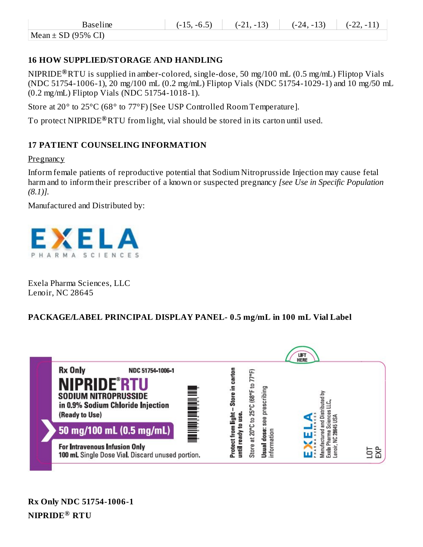Mean  $\pm$  SD (95% CI)

## **16 HOW SUPPLIED/STORAGE AND HANDLING**

NIPRIDE RTU is supplied in amber-colored, single-dose, 50 mg/100 mL (0.5 mg/mL) Fliptop Vials **®** (NDC 51754-1006-1), 20 mg/100 mL (0.2 mg/mL) Fliptop Vials (NDC 51754-1029-1) and 10 mg/50 mL (0.2 mg/mL) Fliptop Vials (NDC 51754-1018-1).

Store at 20° to 25°C (68° to 77°F) [See USP Controlled Room Temperature].

To protect  $\text{NIPRIDE}^{\circledR}\text{RTU}$  from light, vial should be stored in its carton until used.

## **17 PATIENT COUNSELING INFORMATION**

**Pregnancy** 

Inform female patients of reproductive potential that Sodium Nitroprusside Injection may cause fetal harm and to inform their prescriber of a known or suspected pregnancy *[see Use in Specific Population (8.1)].*

Manufactured and Distributed by:



Exela Pharma Sciences, LLC Lenoir, NC 28645

## **PACKAGE/LABEL PRINCIPAL DISPLAY PANEL- 0.5 mg/mL in 100 mL Vial Label**

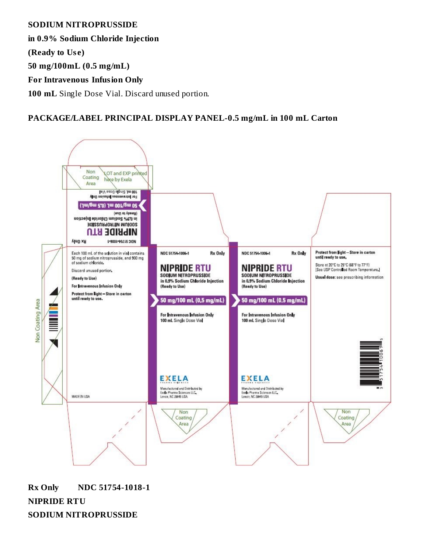**SODIUM NITROPRUSSIDE**

**in 0.9% Sodium Chloride Injection**

**(Ready to Use)**

**50 mg/100mL (0.5 mg/mL)**

**For Intravenous Infusion Only**

**100 mL** Single Dose Vial. Discard unused portion.

## **PACKAGE/LABEL PRINCIPAL DISPLAY PANEL-0.5 mg/mL in 100 mL Carton**



**Rx Only NDC 51754-1018-1 NIPRIDE RTU SODIUM NITROPRUSSIDE**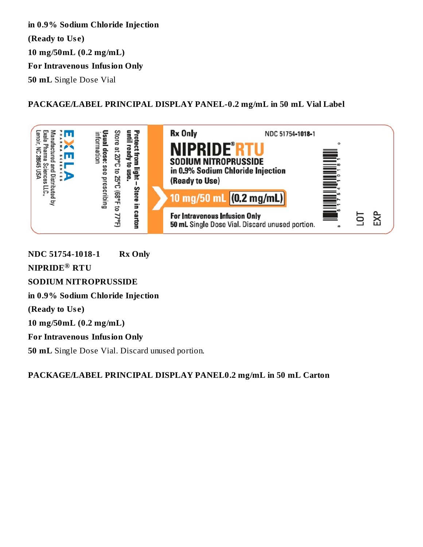**in 0.9% Sodium Chloride Injection (Ready to Use) 10 mg/50mL (0.2 mg/mL) For Intravenous Infusion Only 50 mL** Single Dose Vial

**PACKAGE/LABEL PRINCIPAL DISPLAY PANEL-0.2 mg/mL in 50 mL Vial Label**



**NDC 51754-1018-1 Rx Only**  $\mathbf{NIPRIDE}^{\circledR}$   $\mathbf{RTU}$ **SODIUM NITROPRUSSIDE in 0.9% Sodium Chloride Injection (Ready to Use) 10 mg/50mL (0.2 mg/mL) For Intravenous Infusion Only 50 mL** Single Dose Vial. Discard unused portion.

**PACKAGE/LABEL PRINCIPAL DISPLAY PANEL0.2 mg/mL in 50 mL Carton**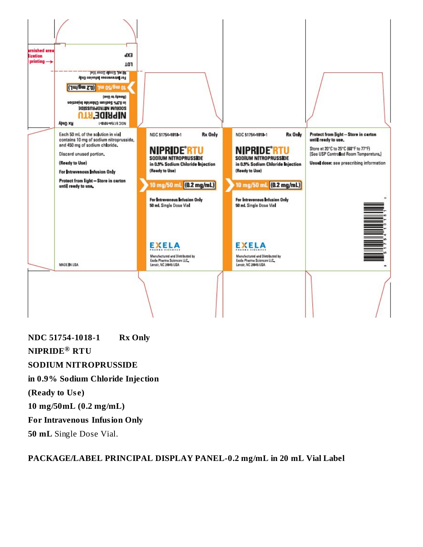

**NDC 51754-1018-1 Rx Only**  $N$ **IPRIDE®** RTU **SODIUM NITROPRUSSIDE in 0.9% Sodium Chloride Injection (Ready to Use) 10 mg/50mL (0.2 mg/mL) For Intravenous Infusion Only 50 mL** Single Dose Vial.

#### **PACKAGE/LABEL PRINCIPAL DISPLAY PANEL-0.2 mg/mL in 20 mL Vial Label**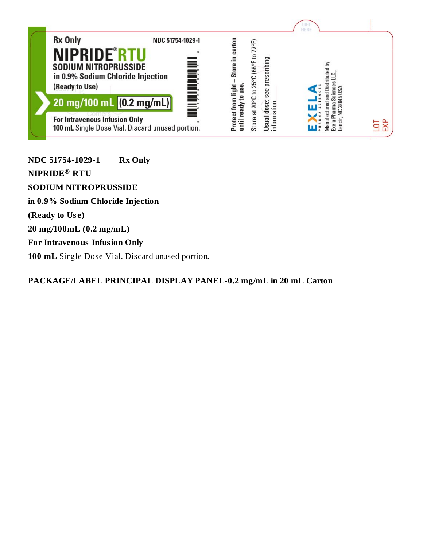

**NDC 51754-1029-1 Rx Only**  $N$ **IPRIDE®** RTU **SODIUM NITROPRUSSIDE in 0.9% Sodium Chloride Injection (Ready to Use) 20 mg/100mL (0.2 mg/mL) For Intravenous Infusion Only 100 mL** Single Dose Vial. Discard unused portion.

**PACKAGE/LABEL PRINCIPAL DISPLAY PANEL-0.2 mg/mL in 20 mL Carton**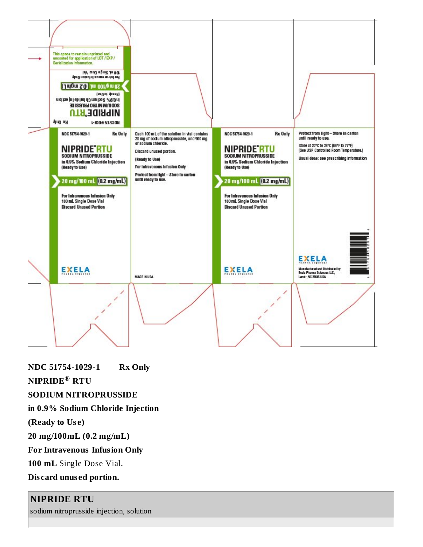

**NDC 51754-1029-1 Rx Only**

 $\mathbf{NIPRIDE}^{\circledR}$   $\mathbf{RTU}$ 

**SODIUM NITROPRUSSIDE**

**in 0.9% Sodium Chloride Injection**

**(Ready to Use)**

**20 mg/100mL (0.2 mg/mL)**

**For Intravenous Infusion Only**

**100 mL** Single Dose Vial.

**Discard unused portion.**

## **NIPRIDE RTU**

sodium nitroprusside injection, solution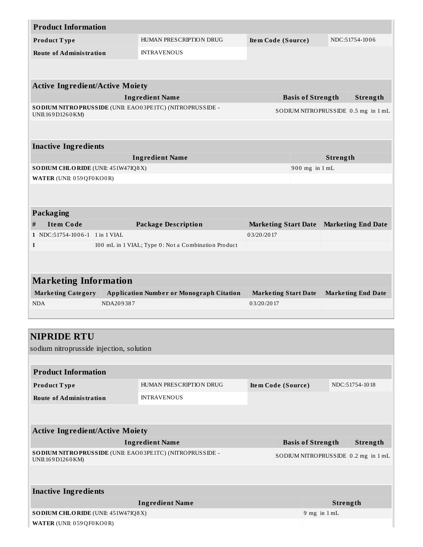| <b>Product Information</b>                                                      |                         |                                                             |                    |                             |                |                |                                     |
|---------------------------------------------------------------------------------|-------------------------|-------------------------------------------------------------|--------------------|-----------------------------|----------------|----------------|-------------------------------------|
| Product Type                                                                    | HUMAN PRESCRIPTION DRUG |                                                             |                    |                             |                |                | NDC:51754-1006                      |
| <b>Route of Administration</b>                                                  |                         | <b>INTRAVENOUS</b>                                          |                    |                             |                |                |                                     |
|                                                                                 |                         |                                                             |                    |                             |                |                |                                     |
|                                                                                 |                         |                                                             |                    |                             |                |                |                                     |
| <b>Active Ingredient/Active Moiety</b>                                          |                         |                                                             |                    |                             |                |                |                                     |
|                                                                                 |                         | <b>Ingredient Name</b>                                      |                    | <b>Basis of Strength</b>    |                |                | <b>Strength</b>                     |
| UNII:169D1260KM)                                                                |                         | SO DIUM NITRO PRUSSIDE (UNII: EAO03PE1TC) (NITRO PRUSSIDE - |                    |                             |                |                | SODIUM NITROPRUSSIDE 0.5 mg in 1 mL |
|                                                                                 |                         |                                                             |                    |                             |                |                |                                     |
|                                                                                 |                         |                                                             |                    |                             |                |                |                                     |
| <b>Inactive Ingredients</b>                                                     |                         |                                                             |                    |                             |                |                |                                     |
|                                                                                 |                         | <b>Ingredient Name</b>                                      |                    |                             |                | Strength       |                                     |
| SO DIUM CHLORIDE (UNII: 451W47IQ8X)                                             |                         |                                                             |                    |                             | 900 mg in 1 mL |                |                                     |
| WATER (UNII: 059QF0KO0R)                                                        |                         |                                                             |                    |                             |                |                |                                     |
|                                                                                 |                         |                                                             |                    |                             |                |                |                                     |
|                                                                                 |                         |                                                             |                    |                             |                |                |                                     |
| Packaging                                                                       |                         |                                                             |                    |                             |                |                |                                     |
| <b>Item Code</b><br>#                                                           |                         | <b>Package Description</b>                                  |                    | <b>Marketing Start Date</b> |                |                | <b>Marketing End Date</b>           |
| 1 NDC:51754-1006-1 1 in 1 VIAL                                                  |                         |                                                             | 03/20/2017         |                             |                |                |                                     |
| $\mathbf{1}$                                                                    |                         | 100 mL in 1 VIAL; Type 0: Not a Combination Product         |                    |                             |                |                |                                     |
|                                                                                 |                         |                                                             |                    |                             |                |                |                                     |
|                                                                                 |                         |                                                             |                    |                             |                |                |                                     |
| <b>Marketing Information</b>                                                    |                         |                                                             |                    |                             |                |                |                                     |
| <b>Marketing Category</b>                                                       |                         | <b>Application Number or Monograph Citation</b>             |                    | <b>Marketing Start Date</b> |                |                | <b>Marketing End Date</b>           |
| <b>NDA</b>                                                                      | NDA209387               |                                                             | 03/20/2017         |                             |                |                |                                     |
|                                                                                 |                         |                                                             |                    |                             |                |                |                                     |
|                                                                                 |                         |                                                             |                    |                             |                |                |                                     |
| <b>NIPRIDE RTU</b>                                                              |                         |                                                             |                    |                             |                |                |                                     |
| sodium nitroprusside injection, solution                                        |                         |                                                             |                    |                             |                |                |                                     |
|                                                                                 |                         |                                                             |                    |                             |                |                |                                     |
| <b>Product Information</b>                                                      |                         |                                                             |                    |                             |                |                |                                     |
|                                                                                 |                         |                                                             |                    |                             |                |                |                                     |
| Product Type                                                                    |                         | HUMAN PRESCRIPTION DRUG                                     | Item Code (Source) |                             |                | NDC:51754-1018 |                                     |
| <b>Route of Administration</b>                                                  |                         | <b>INTRAVENOUS</b>                                          |                    |                             |                |                |                                     |
|                                                                                 |                         |                                                             |                    |                             |                |                |                                     |
|                                                                                 |                         |                                                             |                    |                             |                |                |                                     |
| <b>Active Ingredient/Active Moiety</b>                                          |                         |                                                             |                    |                             |                |                |                                     |
|                                                                                 |                         | <b>Basis of Strength</b>                                    |                    |                             | Strength       |                |                                     |
| SO DIUM NITRO PRUSSIDE (UNII: EAO03PE1TC) (NITRO PRUSSIDE -<br>UNII:169D1260KM) |                         |                                                             |                    |                             |                |                | SODIUM NITROPRUSSIDE 0.2 mg in 1 mL |
|                                                                                 |                         |                                                             |                    |                             |                |                |                                     |
|                                                                                 |                         |                                                             |                    |                             |                |                |                                     |
| <b>Inactive Ingredients</b>                                                     |                         |                                                             |                    |                             |                |                |                                     |
|                                                                                 |                         | <b>Ingredient Name</b>                                      | <b>Strength</b>    |                             |                |                |                                     |
| SO DIUM CHLORIDE (UNII: 451W47IQ8X)                                             | $9$ mg in $1$ mL        |                                                             |                    |                             |                |                |                                     |
|                                                                                 |                         |                                                             |                    |                             |                |                |                                     |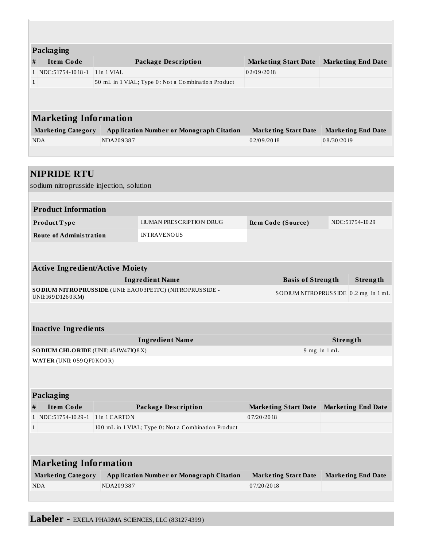|              | Packaging                    |                                                    |                             |                           |  |  |  |  |
|--------------|------------------------------|----------------------------------------------------|-----------------------------|---------------------------|--|--|--|--|
| #            | <b>Item Code</b>             | Package Description                                | <b>Marketing Start Date</b> | <b>Marketing End Date</b> |  |  |  |  |
|              | $1$ NDC:51754-1018-1         | 1 in 1 VIAL                                        | 02/09/2018                  |                           |  |  |  |  |
| $\mathbf{1}$ |                              | 50 mL in 1 VIAL; Type 0: Not a Combination Product |                             |                           |  |  |  |  |
|              |                              |                                                    |                             |                           |  |  |  |  |
|              |                              |                                                    |                             |                           |  |  |  |  |
|              | <b>Marketing Information</b> |                                                    |                             |                           |  |  |  |  |
|              | <b>Marketing Category</b>    | <b>Application Number or Monograph Citation</b>    | <b>Marketing Start Date</b> | <b>Marketing End Date</b> |  |  |  |  |
|              | <b>NDA</b>                   | NDA209387                                          | 02/09/2018                  | 08/30/2019                |  |  |  |  |
|              |                              |                                                    |                             |                           |  |  |  |  |

| <b>NIPRIDE RTU</b>                       |           |                                                             |            |                                     |                  |                           |  |
|------------------------------------------|-----------|-------------------------------------------------------------|------------|-------------------------------------|------------------|---------------------------|--|
| sodium nitroprusside injection, solution |           |                                                             |            |                                     |                  |                           |  |
|                                          |           |                                                             |            |                                     |                  |                           |  |
| <b>Product Information</b>               |           |                                                             |            |                                     |                  |                           |  |
| Product Type                             |           | <b>HUMAN PRESCRIPTION DRUG</b>                              |            | Item Code (Source)                  |                  | NDC:51754-1029            |  |
| <b>Route of Administration</b>           |           | <b>INTRAVENOUS</b>                                          |            |                                     |                  |                           |  |
|                                          |           |                                                             |            |                                     |                  |                           |  |
| <b>Active Ingredient/Active Moiety</b>   |           |                                                             |            |                                     |                  |                           |  |
|                                          |           | <b>Ingredient Name</b>                                      |            | <b>Basis of Strength</b>            |                  | Strength                  |  |
| UNII:169D1260KM)                         |           | SO DIUM NITRO PRUSSIDE (UNII: EAO03PE1TC) (NITRO PRUSSIDE - |            | SODIUM NITROPRUSSIDE 0.2 mg in 1 mL |                  |                           |  |
|                                          |           |                                                             |            |                                     |                  |                           |  |
| <b>Inactive Ingredients</b>              |           |                                                             |            |                                     |                  |                           |  |
|                                          |           | <b>Ingredient Name</b>                                      |            | Strength                            |                  |                           |  |
| SO DIUM CHLORIDE (UNII: 451W47IQ8X)      |           |                                                             |            |                                     | $9$ mg in $1$ mL |                           |  |
| WATER (UNII: 059QF0KO0R)                 |           |                                                             |            |                                     |                  |                           |  |
|                                          |           |                                                             |            |                                     |                  |                           |  |
| Packaging                                |           |                                                             |            |                                     |                  |                           |  |
| <b>Item Code</b><br>#                    |           | <b>Package Description</b>                                  |            | <b>Marketing Start Date</b>         |                  | <b>Marketing End Date</b> |  |
| 1 NDC:51754-1029-1 1 in 1 CARTON         |           |                                                             | 07/20/2018 |                                     |                  |                           |  |
| $\mathbf{1}$                             |           | 100 mL in 1 VIAL; Type 0: Not a Combination Product         |            |                                     |                  |                           |  |
|                                          |           |                                                             |            |                                     |                  |                           |  |
| <b>Marketing Information</b>             |           |                                                             |            |                                     |                  |                           |  |
| <b>Marketing Category</b>                |           | <b>Application Number or Monograph Citation</b>             |            | <b>Marketing Start Date</b>         |                  | <b>Marketing End Date</b> |  |
| <b>NDA</b>                               | NDA209387 |                                                             | 07/20/2018 |                                     |                  |                           |  |
|                                          |           |                                                             |            |                                     |                  |                           |  |